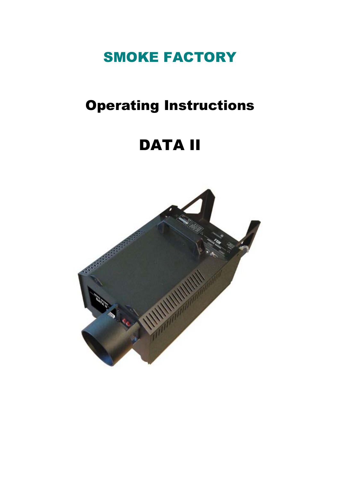# SMOKE FACTORY

## Operating Instructions

# DATA II

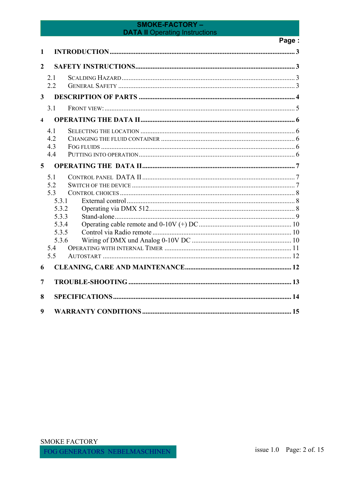## Page:

| 1                       |                                                                                      |  |  |  |  |
|-------------------------|--------------------------------------------------------------------------------------|--|--|--|--|
| $\overline{2}$          |                                                                                      |  |  |  |  |
|                         | 2.1<br>2.2                                                                           |  |  |  |  |
| 3                       |                                                                                      |  |  |  |  |
|                         | 3.1                                                                                  |  |  |  |  |
| $\overline{\mathbf{4}}$ |                                                                                      |  |  |  |  |
|                         | 41<br>4.2<br>4.3<br>4.4                                                              |  |  |  |  |
| $\overline{5}$          |                                                                                      |  |  |  |  |
|                         | 5.1<br>5.2<br>53<br>5.3.1<br>5.3.2<br>5.3.3<br>5.3.4<br>5.3.5<br>5.3.6<br>5.4<br>5.5 |  |  |  |  |
| 6                       |                                                                                      |  |  |  |  |
| 7                       |                                                                                      |  |  |  |  |
| 8                       |                                                                                      |  |  |  |  |
| 9                       |                                                                                      |  |  |  |  |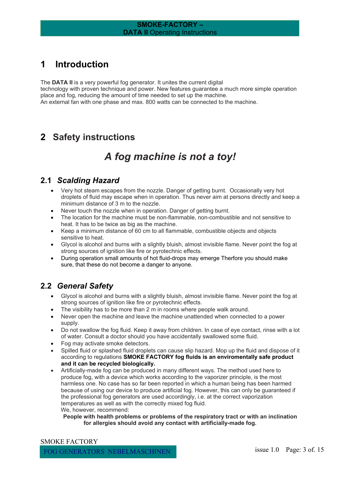## <span id="page-2-0"></span>**1 Introduction**

The **DATA II** is a very powerful fog generator. It unites the current digital technology with proven technique and power. New features guarantee a much more simple operation place and fog, reducing the amount of time needed to set up the machine. An external fan with one phase and max. 800 watts can be connected to the machine.

## **2 Safety instructions**

## *A fog machine is not a toy!*

#### **2.1** *Scalding Hazard*

- Very hot steam escapes from the nozzle. Danger of getting burnt. Occasionally very hot droplets of fluid may escape when in operation. Thus never aim at persons directly and keep a minimum distance of 3 m to the nozzle.
- Never touch the nozzle when in operation. Danger of getting burnt.
- The location for the machine must be non-flammable, non-combustible and not sensitive to heat. It has to be twice as big as the machine.
- Keep a minimum distance of 60 cm to all flammable, combustible objects and objects sensitive to heat.
- Glycol is alcohol and burns with a slightly bluish, almost invisible flame. Never point the fog at strong sources of ignition like fire or pyrotechnic effects.
- During operation small amounts of hot fluid-drops may emerge Therfore you should make sure, that these do not become a danger to anyone.

## **2.2** *General Safety*

- Glycol is alcohol and burns with a slightly bluish, almost invisible flame. Never point the fog at strong sources of ignition like fire or pyrotechnic effects.
- The visibility has to be more than 2 m in rooms where people walk around.
- Never open the machine and leave the machine unattended when connected to a power supply.
- Do not swallow the fog fluid. Keep it away from children. In case of eye contact, rinse with a lot of water. Consult a doctor should you have accidentally swallowed some fluid.
- Fog may activate smoke detectors.
- Spilled fluid or splashed fluid droplets can cause slip hazard. Mop up the fluid and dispose of it according to regulations **SMOKE FACTORY fog fluids is an enviromentally safe product and it can be recycled biologically.**
- Artificially-made fog can be produced in many different ways. The method used here to produce fog, with a device which works according to the vaporizer principle, is the most harmless one. No case has so far been reported in which a human being has been harmed because of using our device to produce artificial fog. However, this can only be guaranteed if the professional fog generators are used accordingly, i.e. at the correct vaporization temperatures as well as with the correctly mixed fog fluid. We, however, recommend:

#### **People with health problems or problems of the respiratory tract or with an inclination for allergies should avoid any contact with artificially-made fog.**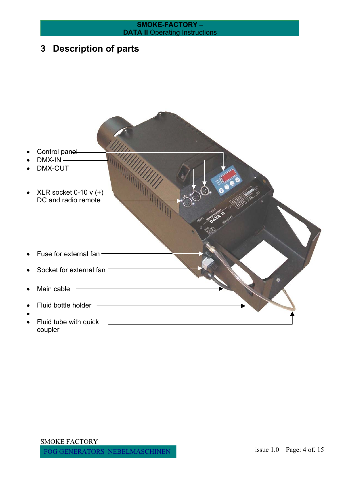# <span id="page-3-0"></span>**SMOKE-FACTORY – DATA II** Operating Instructions **3 Description of parts**  Control panel  $DMX-IN$   $\longrightarrow$ DMX-OUT — • XLR socket  $0-10 v (+)$ DC and radio remote Fuse for external fan  $-$ Socket for external fan <sup>-</sup> Main cable  $-$ • Fluid bottle holder • Fluid tube with quick <u>\_\_\_\_\_\_\_\_\_\_\_\_\_\_\_\_\_\_\_\_\_\_\_\_\_\_\_\_</u> coupler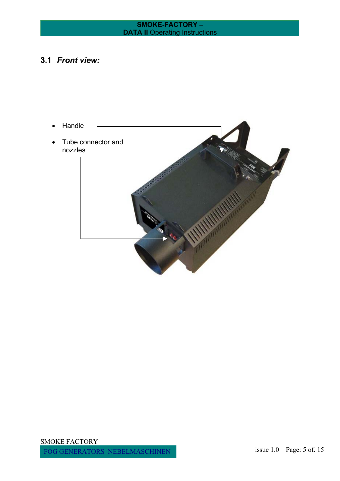## <span id="page-4-0"></span>**3.1** *Front view:*

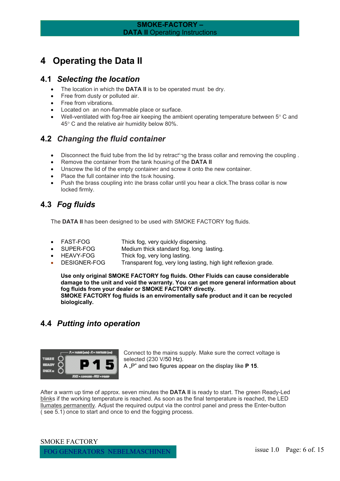## <span id="page-5-0"></span>**4 Operating the Data II**

#### **4.1** *Selecting the location*

- The location in which the **DATA II** is to be operated must be dry.
- Free from dusty or polluted air.
- Free from vibrations.
- Located on an non-flammable place or surface.
- Well-ventilated with fog-free air keeping the ambient operating temperature between  $5^{\circ}$  C and 45° C and the relative air humidity below 80%.

## **4.2** *Changing the fluid container*

- Disconnect the fluid tube from the lid by retracting the brass collar and removing the coupling.
- Remove the container from the tank housing of the **DATA II**
- Unscrew the lid of the empty container and screw it onto the new container.
- Place the full container into the tank housing.
- Push the brass coupling into the brass collar until you hear a click. The brass collar is now locked firmly.

## **4.3** *Fog fluids*

The **DATA II** has been designed to be used with SMOKE FACTORY fog fluids.

- FAST-FOG Thick fog, very quickly dispersing.
- SUPER-FOG Medium thick standard fog, long lasting.<br>HEAVY-FOG Thick fog, very long lasting.
- Thick fog, very long lasting.
- DESIGNER-FOG Transparent fog, very long lasting, high light reflexion grade.

**Use only original SMOKE FACTORY fog fluids. Other Fluids can cause considerable damage to the unit and void the warranty. You can get more general information about fog fluids from your dealer or SMOKE FACTORY directly. SMOKE FACTORY fog fluids is an enviromentally safe product and it can be recycled biologically.** 

## **4.4** *Putting into operation*



Connect to the mains supply. Make sure the correct voltage is selected (230 V/50 Hz). A .<sup>P"</sup> and two figures appear on the display like **P 15**.

After a warm up time of approx. seven minutes the **DATA II** is ready to start. The green Ready-Led blinks if the working temperature is reached. As soon as the final temperature is reached, the LED llumates permanently. Adjust the required output via the control panel and press the Enter-button ( see 5.1) once to start and once to end the fogging process.

SMOKE FACTORY FOG GENERATORS NEBELMASCHINEN issue 1.0 Page: 6 of. 15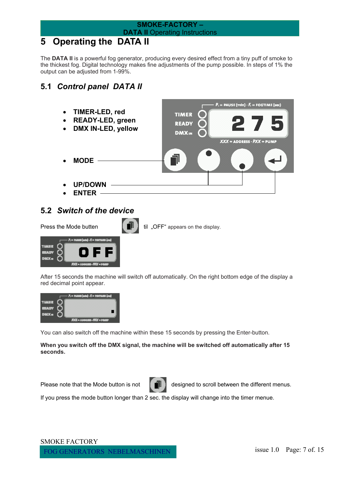## <span id="page-6-0"></span>**5 Operating the DATA II**

The **DATA II** is a powerful fog generator, producing every desired effect from a tiny puff of smoke to the thickest fog. Digital technology makes fine adjustments of the pump possible. In steps of 1% the output can be adjusted from 1-99%.

## **5.1** *Control panel DATA II*



## **5.2** *Switch of the device*



Press the Mode butten  $\begin{bmatrix} \blacksquare \blacksquare \end{bmatrix}$  til "OFF" appears on the display.



After 15 seconds the machine will switch off automatically. On the right bottom edge of the display a red decimal point appear.



You can also switch off the machine within these 15 seconds by pressing the Enter-button.

**When you switch off the DMX signal, the machine will be switched off automatically after 15 seconds.**



Please note that the Mode button is not  $\|\cdot\|$  designed to scroll between the different menus.

If you press the mode button longer than 2 sec. the display will change into the timer menue.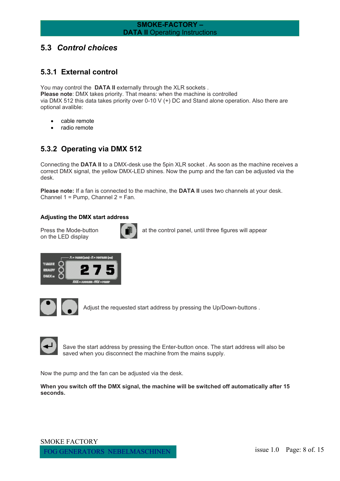## <span id="page-7-0"></span>**5.3** *Control choices*

#### **5.3.1 External control**

You may control the **DATA II** externally through the XLR sockets. **Please note**: DMX takes priority. That means: when the machine is controlled via DMX 512 this data takes priority over 0-10 V (+) DC and Stand alone operation. Also there are optional avalible:

- cable remote
- radio remote

## **5.3.2 Operating via DMX 512**

Connecting the **DATA II** to a DMX-desk use the 5pin XLR socket . As soon as the machine receives a correct DMX signal, the yellow DMX-LED shines. Now the pump and the fan can be adjusted via the desk.

**Please note:** If a fan is connected to the machine, the **DATA II** uses two channels at your desk. Channel 1 = Pump, Channel 2 = Fan.

#### **Adjusting the DMX start address**

on the LED display



Press the Mode-button  $\begin{bmatrix} \blacksquare \\ \blacksquare \end{bmatrix}$  at the control panel, until three figures will appear





Adjust the requested start address by pressing the Up/Down-buttons .



Save the start address by pressing the Enter-button once. The start address will also be saved when you disconnect the machine from the mains supply.

Now the pump and the fan can be adjusted via the desk.

**When you switch off the DMX signal, the machine will be switched off automatically after 15 seconds.**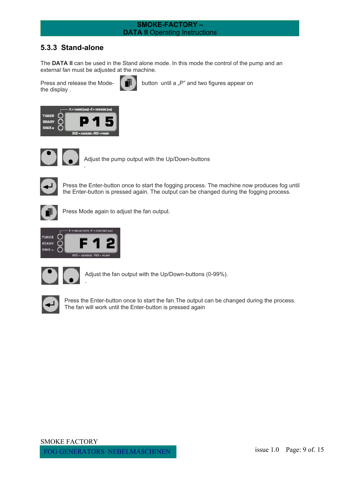#### <span id="page-8-0"></span>**5.3.3 Stand-alone**

The **DATA II** can be used in the Stand alone mode. In this mode the control of the pump and an external fan must be adjusted at the machine.

the display .



Press and release the Mode-  $\begin{bmatrix} \blacksquare \\ \blacksquare \end{bmatrix}$  button until a "P" and two figures appear on



.



Adjust the pump output with the Up/Down-buttons



Press the Enter-button once to start the fogging process. The machine now produces fog until the Enter-button is pressed again. The output can be changed during the fogging process.



Press Mode again to adjust the fan output.



.



Adjust the fan output with the Up/Down-buttons (0-99%).



Press the Enter-button once to start the fan.The output can be changed during the process. The fan will work until the Enter-button is pressed again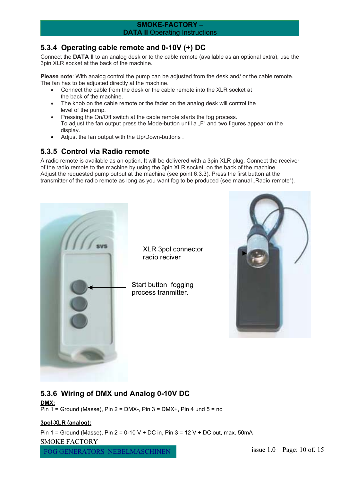#### <span id="page-9-0"></span>**5.3.4 Operating cable remote and 0-10V (+) DC**

Connect the **DATA II** to an analog desk or to the cable remote (available as an optional extra), use the 3pin XLR socket at the back of the machine.

**Please note**: With analog control the pump can be adjusted from the desk and/ or the cable remote. The fan has to be adjusted directly at the machine.

- Connect the cable from the desk or the cable remote into the XLR socket at the back of the machine.
- The knob on the cable remote or the fader on the analog desk will control the level of the pump.
- Pressing the On/Off switch at the cable remote starts the fog process. To adjust the fan output press the Mode-button until a "F" and two figures appear on the display.
- Adjust the fan output with the Up/Down-buttons .

## **5.3.5 Control via Radio remote**

A radio remote is available as an option. It will be delivered with a 3pin XLR plug. Connect the receiver of the radio remote to the machine by using the 3pin XLR socket on the back of the machine. Adjust the requested pump output at the machine (see point 6.3.3). Press the first button at the transmitter of the radio remote as long as you want fog to be produced (see manual "Radio remote").



## **5.3.6 Wiring of DMX und Analog 0-10V DC**

**DMX:**  $\overline{Pin 1}$  = Ground (Masse), Pin 2 = DMX-, Pin 3 = DMX+, Pin 4 und 5 = nc

#### **3pol-XLR (analog):**

Pin 1 = Ground (Masse), Pin 2 = 0-10 V + DC in, Pin 3 = 12 V + DC out, max. 50mA SMOKE FACTORY FOG GENERATORS NEBELMASCHINEN issue 1.0 Page: 10 of. 15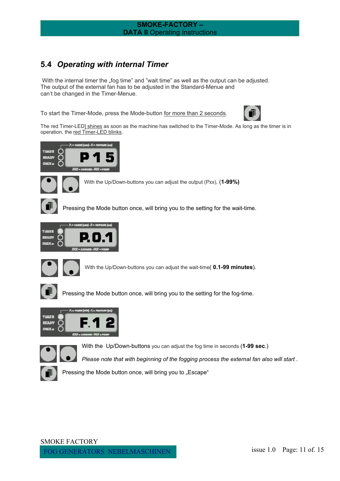## <span id="page-10-0"></span>**5.4** *Operating with internal Timer*

With the internal timer the "fog time" and "wait time" as well as the output can be adjusted. The output of the external fan has to be adjusted in the Standard-Menue and can't be changed in the Timer-Menue.

To start the Timer-Mode, press the Mode-button for more than 2 seconds.



The red Timer-LED] shines as soon as the machine has switched to the Timer-Mode. As long as the timer is in operation, the red Timer-LED blinks.



With the Up/Down-buttons you can adjust the output (Pxx), (**1-99%)**

Pressing the Mode button once, will bring you to the setting for the wait-time.





With the Up/Down-buttons you can adjust the wait-time( **0.1-99 minutes**).



Pressing the Mode button once, will bring you to the setting for the fog-time.





With the Up/Down-buttons you can adjust the fog time in seconds (**1-99 sec**.)

*Please note that with beginning of the fogging process the external fan also will start .*



Pressing the Mode button once, will bring you to "Escape"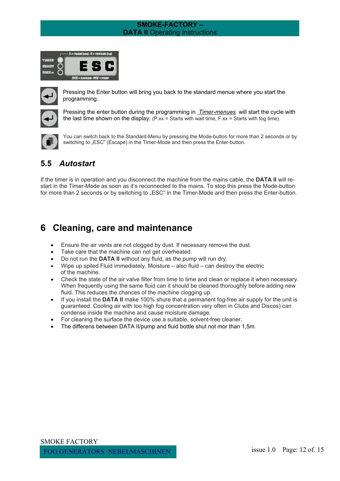<span id="page-11-0"></span>

|                | jad bahi - A = 1971.00 (va) |                                      |       |  |
|----------------|-----------------------------|--------------------------------------|-------|--|
|                |                             |                                      |       |  |
| <b>EXAMPLE</b> |                             |                                      | E S C |  |
| 1.11           |                             |                                      |       |  |
|                |                             | <b>JOIL - ANGELES - FRIT - PRIME</b> |       |  |



Pressing the Enter button will bring you back to the standard menue where you start the programming.



Pressing the enter button during the programming in *Timer-menues* will start the cycle with the last time shown on the display.  $(P,xx = \text{Stats with wait time}, F,xx = \text{Stats with fog time}).$ 



You can switch back to the Standard-Menu by pressing the Mode-button for more than 2 seconds or by switching to "ESC" (Escape) in the Timer-Mode and then press the Enter-button.

## **5.5** *Autostart*

If the timer is in operation and you disconnect the machine from the mains cable, the **DATA II** will restart in the Timer-Mode as soon as it's reconnected to the mains. To stop this press the Mode-button for more than 2 seconds or by switching to "ESC" in the Timer-Mode and then press the Enter-button.

## **6 Cleaning, care and maintenance**

- Ensure the air vents are not clogged by dust. If necessary remove the dust.
- Take care that the machine can not get overheated.
- Do not run the **DATA II** without any fluid, as the pump will run dry.
- Wipe up spiled Fluid immediately. Moisture also fluid can destroy the electric of the machine.
- Check the state of the air valve filter from time to time and clean or replace it when necessary. When frequently using the same fluid can it should be cleaned thoroughly before adding new fluid. This reduces the chances of the machine clogging up.
- If you install the **DATA II** make 100% shure that a permanent fog-free air supply for the unit is guaranteed. Cooling air with too high fog concentration very often in Clubs and Discos) can condense inside the machine and cause moisture damage.
- For cleaning the surface the device use a suitable, solvent-free cleaner.
- The differens between DATA II/pump and fluid bottle shut not mor than 1,5m.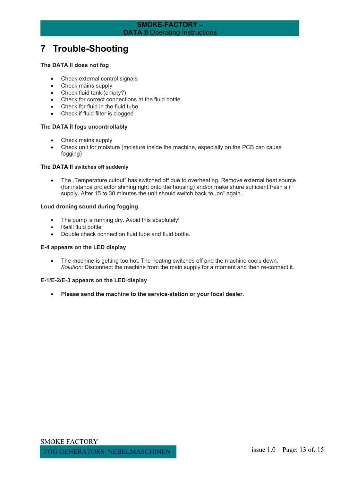## <span id="page-12-0"></span>**7 Trouble-Shooting**

#### **The DATA II does not fog**

- Check external control signals
- Check mains supply
- Check fluid tank (empty?)
- Check for correct connections at the fluid bottle
- Check for fluid in the fluid tube
- Check if fluid filter is clogged

#### **The DATA II fogs uncontrollably**

- Check mains supply
- Check unit for moisture (moisture inside the machine, especially on the PCB can cause fogging)

#### **The DATA II switches off suddenly**

• The "Temperature cutout" has switched off due to overheating. Remove external heat source (for instance projector shining right onto the housing) and/or make shure sufficient fresh air supply. After 15 to 30 minutes the unit should switch back to "on" again.

#### **Loud droning sound during fogging**

- The pump is running dry. Avoid this absolutely!
- Refill fluid bottle
- Double check connection fluid tube and fluid bottle.

#### **E-4 appears on the LED display**

• The machine is getting too hot. The heating switches off and the machine cools down. *Solution:* Disconnect the machine from the main supply for a moment and then re-connect it.

#### **E-1/E-2/E-3 appears on the LED display**

• **Please send the machine to the service-station or your local dealer.**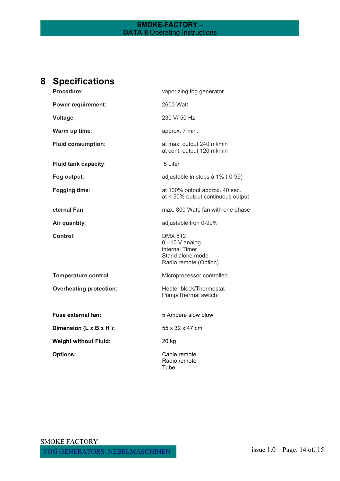## <span id="page-13-0"></span>**8 Specifications**

| Procedure:                     | vaporizing fog generator                                                                           |  |  |
|--------------------------------|----------------------------------------------------------------------------------------------------|--|--|
| Power requirement:             | 2600 Watt                                                                                          |  |  |
| Voltage:                       | 230 V/ 50 Hz                                                                                       |  |  |
| Warm up time:                  | approx. 7 min.                                                                                     |  |  |
| <b>Fluid consumption:</b>      | at max. output 240 ml/min<br>at cont. output 120 ml/min                                            |  |  |
| Fluid tank capacity:           | 5 Liter                                                                                            |  |  |
| Fog output:                    | adjustable in steps à 1% (0-99)                                                                    |  |  |
| Fogging time:                  | at 100% output approx. 40 sec.<br>at < 50% output continuous output                                |  |  |
| eternal Fan:                   | max. 800 Watt, fan with one phase                                                                  |  |  |
| Air quantity:                  | adjustable fron 0-99%                                                                              |  |  |
| Control:                       | <b>DMX 512</b><br>$0 - 10$ V analog<br>internal Timer<br>Stand alone mode<br>Radio remote (Option) |  |  |
| Temperature control:           | Microprocessor controlled                                                                          |  |  |
| <b>Overheating protection:</b> | Heater block/Thermostat<br>Pump/Thermal switch                                                     |  |  |
| Fuse external fan:             | 5 Ampere slow blow                                                                                 |  |  |
| Dimension (L x B x H):         | 55 x 32 x 47 cm                                                                                    |  |  |
| <b>Weight without Fluid:</b>   | 20 kg                                                                                              |  |  |
| <b>Options:</b>                | Cable remote<br>Radio remote<br>Tube                                                               |  |  |